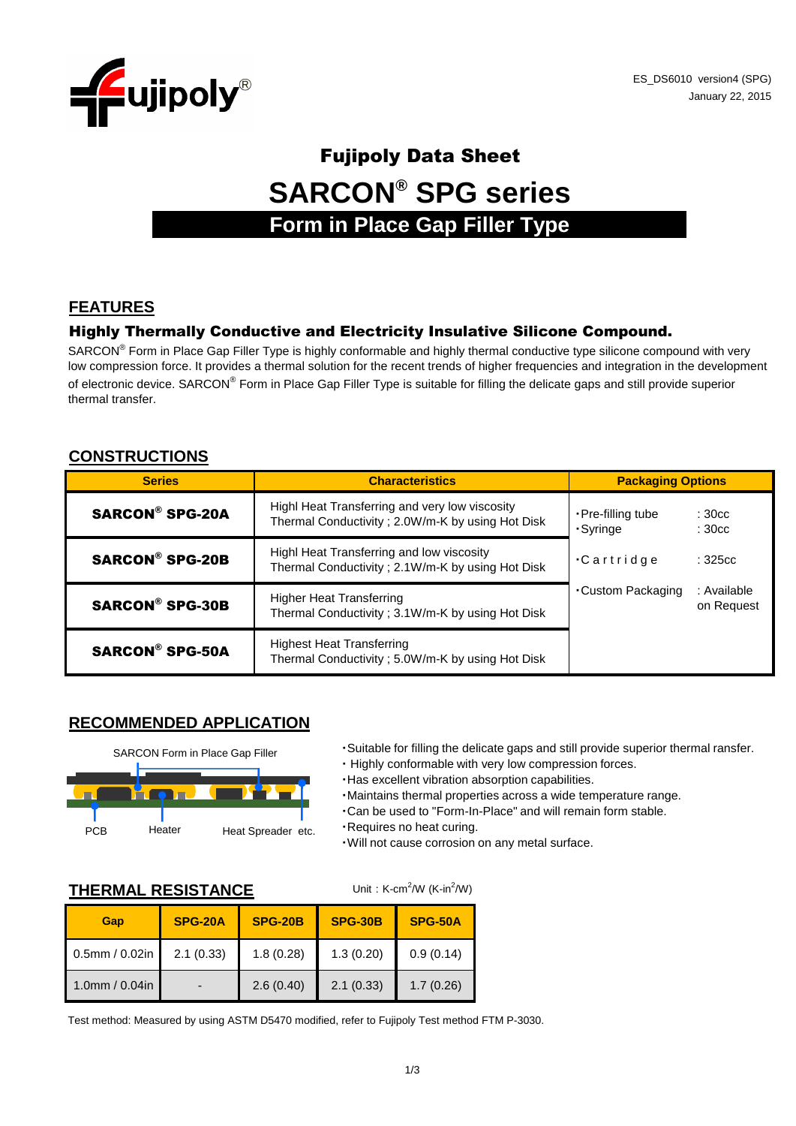

# Fujipoly Data Sheet **SARCON® SPG series Form in Place Gap Filler Type**

## **FEATURES**

#### Highly Thermally Conductive and Electricity Insulative Silicone Compound.

SARCON® Form in Place Gap Filler Type is highly conformable and highly thermal conductive type silicone compound with very low compression force. It provides a thermal solution for the recent trends of higher frequencies and integration in the development of electronic device. SARCON® Form in Place Gap Filler Type is suitable for filling the delicate gaps and still provide superior thermal transfer.

## **CONSTRUCTIONS**

| <b>Series</b>          | <b>Characteristics</b>                                                                             | <b>Packaging Options</b>       |                                          |  |
|------------------------|----------------------------------------------------------------------------------------------------|--------------------------------|------------------------------------------|--|
| <b>SARCON® SPG-20A</b> | Highl Heat Transferring and very low viscosity<br>Thermal Conductivity; 2.0W/m-K by using Hot Disk | • Pre-filling tube<br>·Syringe | : 30 <sub>cc</sub><br>: 30 <sub>cc</sub> |  |
| <b>SARCON® SPG-20B</b> | Highl Heat Transferring and low viscosity<br>Thermal Conductivity; 2.1W/m-K by using Hot Disk      | $\cdot$ Cartridge              | :325cc                                   |  |
| <b>SARCON® SPG-30B</b> | <b>Higher Heat Transferring</b><br>Thermal Conductivity; 3.1W/m-K by using Hot Disk                | Custom Packaging               | : Available<br>on Request                |  |
| <b>SARCON® SPG-50A</b> | <b>Highest Heat Transferring</b><br>Thermal Conductivity; 5.0W/m-K by using Hot Disk               |                                |                                          |  |

## **RECOMMENDED APPLICATION**



- ・Suitable for filling the delicate gaps and still provide superior thermal ransfer.
- ・ Highly conformable with very low compression forces.
- ・Has excellent vibration absorption capabilities.
- ・Maintains thermal properties across a wide temperature range.
- ・Can be used to "Form-In-Place" and will remain form stable.
- ・Requires no heat curing.

Unit: K-cm<sup>2</sup>/W (K-in<sup>2</sup>/W)

・Will not cause corrosion on any metal surface.

#### **THERMAL RESISTANCE**

| Gap                  | <b>SPG-20A</b> | <b>SPG-20B</b> | <b>SPG-30B</b> | <b>SPG-50A</b> |
|----------------------|----------------|----------------|----------------|----------------|
| $0.5$ mm / $0.02$ in | 2.1(0.33)      | 1.8(0.28)      | 1.3(0.20)      | 0.9(0.14)      |
| 1.0mm / $0.04$ in    |                | 2.6(0.40)      | 2.1(0.33)      | 1.7(0.26)      |

Test method: Measured by using ASTM D5470 modified, refer to Fujipoly Test method FTM P-3030.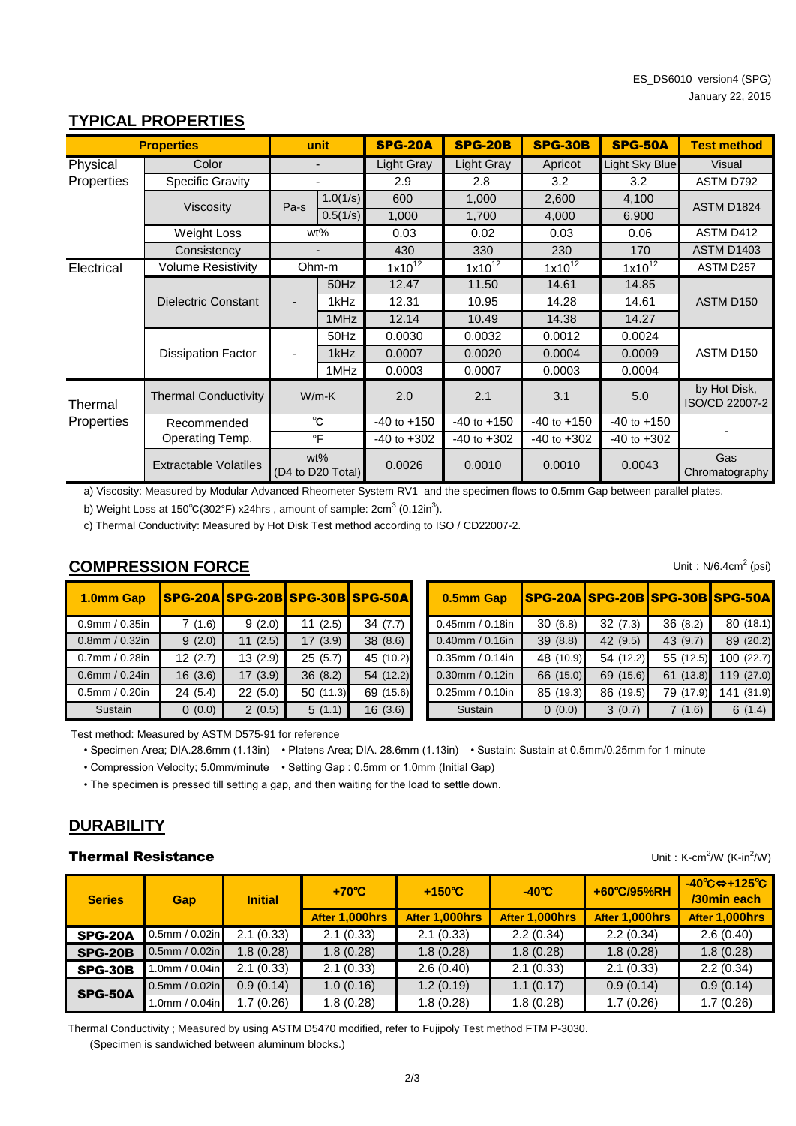| <b>Properties</b> | unit                         |                                    | <b>SPG-20A</b>               | <b>SPG-20B</b>  | <b>SPG-30B</b>    | <b>SPG-50A</b>  | <b>Test method</b>    |                                |
|-------------------|------------------------------|------------------------------------|------------------------------|-----------------|-------------------|-----------------|-----------------------|--------------------------------|
| Physical          | Color                        |                                    | $\qquad \qquad \blacksquare$ | Light Gray      | <b>Light Gray</b> | Apricot         | <b>Light Sky Blue</b> | <b>Visual</b>                  |
| Properties        | <b>Specific Gravity</b>      |                                    | ٠                            | 2.9             | 2.8               | 3.2             | 3.2                   | ASTM D792                      |
|                   |                              | Pa-s                               | 1.0(1/s)                     | 600             | 1,000             | 2,600           | 4,100                 | <b>ASTM D1824</b>              |
|                   | Viscosity                    |                                    | 0.5(1/s)                     | 1,000           | 1,700             | 4,000           | 6,900                 |                                |
|                   | Weight Loss                  |                                    | wt%                          | 0.03            | 0.02              | 0.03            | 0.06                  | ASTM D412                      |
|                   | Consistency                  |                                    | $\overline{\phantom{a}}$     | 430             | 330               | 230             | 170                   | <b>ASTM D1403</b>              |
| Electrical        | <b>Volume Resistivity</b>    |                                    | Ohm-m                        | $1x10^{12}$     | $1x10^{12}$       | $1x10^{12}$     | $1x10^{12}$           | ASTM D257                      |
|                   |                              |                                    | 50Hz                         | 12.47           | 11.50             | 14.61           | 14.85                 |                                |
|                   | <b>Dielectric Constant</b>   | -                                  | 1kHz                         | 12.31           | 10.95             | 14.28           | 14.61                 | ASTM D150                      |
|                   |                              |                                    | 1MHz                         | 12.14           | 10.49             | 14.38           | 14.27                 |                                |
|                   |                              |                                    | 50Hz                         | 0.0030          | 0.0032            | 0.0012          | 0.0024                |                                |
|                   | <b>Dissipation Factor</b>    |                                    | 1kHz                         | 0.0007          | 0.0020            | 0.0004          | 0.0009                | ASTM D150                      |
|                   |                              |                                    | 1MHz                         | 0.0003          | 0.0007            | 0.0003          | 0.0004                |                                |
| Thermal           | <b>Thermal Conductivity</b>  | $W/m-K$                            |                              | 2.0             | 2.1               | 3.1             | 5.0                   | by Hot Disk,<br>ISO/CD 22007-2 |
| Properties        | Recommended                  | °C<br>Operating Temp.<br>$\circ$ F |                              | $-40$ to $+150$ | $-40$ to $+150$   | $-40$ to $+150$ | $-40$ to $+150$       |                                |
|                   |                              |                                    |                              | $-40$ to $+302$ | $-40$ to $+302$   | $-40$ to $+302$ | $-40$ to $+302$       |                                |
|                   | <b>Extractable Volatiles</b> | wt%<br>(D4 to D20 Total)           |                              | 0.0026          | 0.0010            | 0.0010          | 0.0043                | Gas<br>Chromatography          |

## **TYPICAL PROPERTIES**

a) Viscosity: Measured by Modular Advanced Rheometer System RV1 and the specimen flows to 0.5mm Gap between parallel plates.

b) Weight Loss at 150°C(302°F) x24hrs , amount of sample: 2cm $^3$  (0.12in $^3$ ).

c) Thermal Conductivity: Measured by Hot Disk Test method according to ISO / CD22007-2.

## **COMPRESSION FORCE**

| 1.0mm Gap            | SPG-20A SPG-20B SPG-30B SPG-50A |         |          |           | 0.5mm Gap             | SPG-20A SPG-20B SPG |           |    |
|----------------------|---------------------------------|---------|----------|-----------|-----------------------|---------------------|-----------|----|
| $0.9$ mm / $0.35$ in | 7(1.6)                          | 9(2.0)  | 11(2.5)  | 34(7.7)   | $0.45$ mm / $0.18$ in | 30(6.8)             | 32(7.3)   | 36 |
| $0.8$ mm / $0.32$ in | 9(2.0)                          | 11(2.5) | 17(3.9)  | 38 (8.6)  | $0.40$ mm / $0.16$ in | 39(8.8)             | 42 (9.5)  | 43 |
| $0.7$ mm / $0.28$ in | 12(2.7)                         | 13(2.9) | 25(5.7)  | 45 (10.2) | $0.35$ mm / $0.14$ in | 48 (10.9)           | 54 (12.2) | 55 |
| $0.6$ mm / $0.24$ in | 16(3.6)                         | 17(3.9) | 36(8.2)  | 54 (12.2) | $0.30$ mm / $0.12$ in | 66 (15.0)           | 69 (15.6) | 61 |
| $0.5$ mm / $0.20$ in | 24(5.4)                         | 22(5.0) | 50(11.3) | 69 (15.6) | $0.25$ mm / $0.10$ in | 85 (19.3)           | 86 (19.5) | 79 |
| Sustain              | 0(0.0)                          | 2(0.5)  | 5(1.1)   | 16(3.6)   | Sustain               | 0(0.0)              | 3(0.7)    |    |

| 1.0mm Gap      |         |         |          | SPG-20A SPG-20B SPG-30B SPG-50A | 0.5mm Gap             |           |           | SPG-20A SPG-20B SPG-30B SPG-50A |            |
|----------------|---------|---------|----------|---------------------------------|-----------------------|-----------|-----------|---------------------------------|------------|
| 0.9mm / 0.35in | 7(1.6)  | 9(2.0)  | 11(2.5)  | 34(7.7)                         | $0.45$ mm / $0.18$ in | 30(6.8)   | 32(7.3)   | 36(8.2)                         | 80 (18.1)  |
| 0.8mm / 0.32in | 9(2.0)  | 11(2.5) | 17(3.9)  | 38(8.6)                         | $0.40$ mm / $0.16$ in | 39(8.8)   | 42(9.5)   | 43 (9.7)                        | 89 (20.2)  |
| 0.7mm / 0.28in | 12(2.7) | 13(2.9) | 25(5.7)  | 45 (10.2)                       | $0.35$ mm / $0.14$ in | 48 (10.9) | 54 (12.2) | 55 (12.5)                       | 100(22.7)  |
| 0.6mm / 0.24in | 16(3.6) | 17(3.9) | 36(8.2)  | 54(12.2)                        | $0.30$ mm / $0.12$ in | 66 (15.0) | 69 (15.6) | 61 (13.8)                       | 119 (27.0) |
| 0.5mm / 0.20in | 24(5.4) | 22(5.0) | 50(11.3) | 69 (15.6)                       | $0.25$ mm / $0.10$ in | 85 (19.3) | 86 (19.5) | 79 (17.9)                       | 141 (31.9) |
| Sustain        | 0(0.0)  | 2(0.5)  | 5(1.1)   | 16(3.6)                         | Sustain               | 0(0.0)    | 3(0.7)    | 7(1.6)                          | 6(1.4)     |

Test method: Measured by ASTM D575-91 for reference

• Specimen Area; DIA.28.6mm (1.13in) • Platens Area; DIA. 28.6mm (1.13in) • Sustain: Sustain at 0.5mm/0.25mm for 1 minute

• Compression Velocity; 5.0mm/minute • Setting Gap : 0.5mm or 1.0mm (Initial Gap)

• The specimen is pressed till setting a gap, and then waiting for the load to settle down.

## **DURABILITY**

#### **Thermal Resistance**

 $W$  (K-in<sup>2</sup>/W)

| <b>Series</b>  | <b>Gap</b>           | <b>Initial</b> | $+70^{\circ}$ C<br>After 1,000hrs | $+150^{\circ}$ C<br>After 1.000hrs | $-40^{\circ}$ C<br>After 1.000hrs | +60°C/95%RH<br>After 1,000hrs | $-40^{\circ}$ C $\Leftrightarrow$ +125 $^{\circ}$ C<br>/30min each<br>After 1.000hrs |
|----------------|----------------------|----------------|-----------------------------------|------------------------------------|-----------------------------------|-------------------------------|--------------------------------------------------------------------------------------|
| SPG-20A        | $0.5$ mm / $0.02$ in | 2.1(0.33)      | 2.1(0.33)                         | 2.1(0.33)                          | 2.2(0.34)                         | 2.2(0.34)                     | 2.6(0.40)                                                                            |
| <b>SPG-20B</b> | $0.5$ mm / $0.02$ in | 1.8(0.28)      | 1.8(0.28)                         | 1.8(0.28)                          | 1.8(0.28)                         | 1.8(0.28)                     | 1.8(0.28)                                                                            |
| <b>SPG-30B</b> | .0mm / $0.04$ in     | 2.1(0.33)      | 2.1(0.33)                         | 2.6(0.40)                          | 2.1(0.33)                         | 2.1(0.33)                     | 2.2(0.34)                                                                            |
| <b>SPG-50A</b> | $0.5$ mm / $0.02$ in | 0.9(0.14)      | 1.0(0.16)                         | 1.2(0.19)                          | 1.1(0.17)                         | 0.9(0.14)                     | 0.9(0.14)                                                                            |
|                | .0mm / $0.04$ in     | 1.7(0.26)      | 1.8(0.28)                         | 1.8(0.28)                          | 1.8(0.28)                         | 1.7(0.26)                     | 1.7(0.26)                                                                            |

 (Specimen is sandwiched between aluminum blocks.) Thermal Conductivity ; Measured by using ASTM D5470 modified, refer to Fujipoly Test method FTM P-3030. Unit:  $N/6.4$ cm<sup>2</sup> (psi)